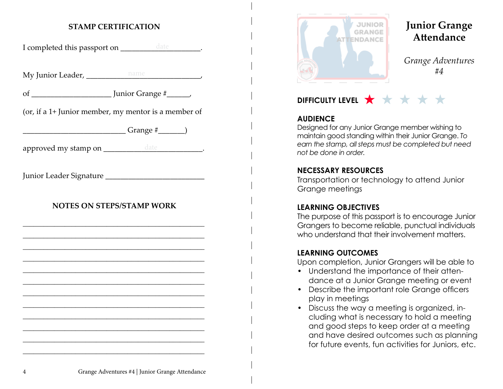# **STAMP CERTIFICATION**

I completed this passport on \_\_\_\_\_\_\_\_\_\_\_\_\_\_\_\_\_\_\_\_\_\_\_.

My Junior Leader, \_\_\_\_\_\_\_\_\_\_\_\_\_\_\_\_\_\_\_\_\_\_\_\_\_\_\_\_\_\_, name

of \_\_\_\_\_\_\_\_\_\_\_\_\_\_\_\_\_\_\_\_\_ Junior Grange #\_\_\_\_\_\_,

(or, if a 1+ Junior member, my mentor is a member of

 $Grange \#$  (1)

approved my stamp on \_\_\_\_\_\_\_\_\_\_\_\_\_\_\_\_\_\_\_\_\_\_\_\_\_\_\_\_\_\_\_\_\_\_.

Junior Leader Signature \_\_\_\_\_\_\_\_\_\_\_\_\_\_\_\_\_\_\_\_\_\_\_\_\_\_

# **NOTES ON STEPS/STAMP WORK**

\_\_\_\_\_\_\_\_\_\_\_\_\_\_\_\_\_\_\_\_\_\_\_\_\_\_\_\_\_\_\_\_\_\_\_\_\_\_\_\_\_\_\_\_\_\_\_\_\_\_\_\_ \_\_\_\_\_\_\_\_\_\_\_\_\_\_\_\_\_\_\_\_\_\_\_\_\_\_\_\_\_\_\_\_\_\_\_\_\_\_\_\_\_\_\_\_\_\_\_\_\_\_\_\_ \_\_\_\_\_\_\_\_\_\_\_\_\_\_\_\_\_\_\_\_\_\_\_\_\_\_\_\_\_\_\_\_\_\_\_\_\_\_\_\_\_\_\_\_\_\_\_\_\_\_\_\_ \_\_\_\_\_\_\_\_\_\_\_\_\_\_\_\_\_\_\_\_\_\_\_\_\_\_\_\_\_\_\_\_\_\_\_\_\_\_\_\_\_\_\_\_\_\_\_\_\_\_\_\_ \_\_\_\_\_\_\_\_\_\_\_\_\_\_\_\_\_\_\_\_\_\_\_\_\_\_\_\_\_\_\_\_\_\_\_\_\_\_\_\_\_\_\_\_\_\_\_\_\_\_\_\_ \_\_\_\_\_\_\_\_\_\_\_\_\_\_\_\_\_\_\_\_\_\_\_\_\_\_\_\_\_\_\_\_\_\_\_\_\_\_\_\_\_\_\_\_\_\_\_\_\_\_\_\_ \_\_\_\_\_\_\_\_\_\_\_\_\_\_\_\_\_\_\_\_\_\_\_\_\_\_\_\_\_\_\_\_\_\_\_\_\_\_\_\_\_\_\_\_\_\_\_\_\_\_\_\_ \_\_\_\_\_\_\_\_\_\_\_\_\_\_\_\_\_\_\_\_\_\_\_\_\_\_\_\_\_\_\_\_\_\_\_\_\_\_\_\_\_\_\_\_\_\_\_\_\_\_\_\_ \_\_\_\_\_\_\_\_\_\_\_\_\_\_\_\_\_\_\_\_\_\_\_\_\_\_\_\_\_\_\_\_\_\_\_\_\_\_\_\_\_\_\_\_\_\_\_\_\_\_\_\_ \_\_\_\_\_\_\_\_\_\_\_\_\_\_\_\_\_\_\_\_\_\_\_\_\_\_\_\_\_\_\_\_\_\_\_\_\_\_\_\_\_\_\_\_\_\_\_\_\_\_\_\_ \_\_\_\_\_\_\_\_\_\_\_\_\_\_\_\_\_\_\_\_\_\_\_\_\_\_\_\_\_\_\_\_\_\_\_\_\_\_\_\_\_\_\_\_\_\_\_\_\_\_\_\_ \_\_\_\_\_\_\_\_\_\_\_\_\_\_\_\_\_\_\_\_\_\_\_\_\_\_\_\_\_\_\_\_\_\_\_\_\_\_\_\_\_\_\_\_\_\_\_\_\_\_\_\_



# **Junior Grange Attendance**

*Grange Adventures #4*

# **DIFFICULTY LEVEL ★ ★ ★ ★ ★**

#### **AUDIENCE**

Designed for any Junior Grange member wishing to maintain good standing within their Junior Grange. *To earn the stamp, all steps must be completed but need not be done in order.*

#### **NECESSARY RESOURCES**

Transportation or technology to attend Junior Grange meetings

# **LEARNING OBJECTIVES**

The purpose of this passport is to encourage Junior Grangers to become reliable, punctual individuals who understand that their involvement matters.

# **LEARNING OUTCOMES**

Upon completion, Junior Grangers will be able to

- Understand the importance of their attendance at a Junior Grange meeting or event
- Describe the important role Grange officers play in meetings
- Discuss the way a meeting is organized, including what is necessary to hold a meeting and good steps to keep order at a meeting and have desired outcomes such as planning for future events, fun activities for Juniors, etc.